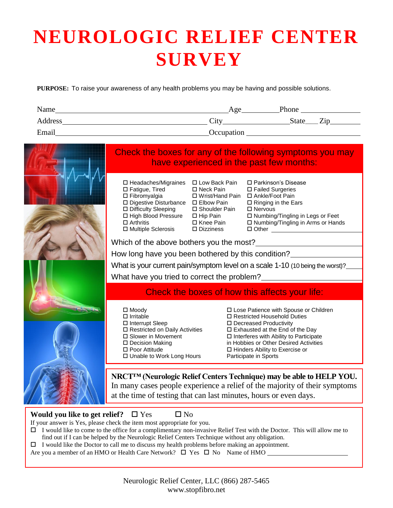## **NEUROLOGIC RELIEF CENTER SURVEY**

**PURPOSE:** To raise your awareness of any health problems you may be having and possible solutions.

| Name    | Age        | Phone |  |
|---------|------------|-------|--|
| Address | City       | State |  |
| Email   | Occupation |       |  |



## **Would you like to get relief?**  $\Box$  Yes  $\Box$  No

If your answer is Yes, please check the item most appropriate for you.

- $\Box$  I would like to come to the office for a complimentary non-invasive Relief Test with the Doctor. This will allow me to find out if I can be helped by the Neurologic Relief Centers Technique without any obligation.
- $\Box$  I would like the Doctor to call me to discuss my health problems before making an appointment.
- Are you a member of an HMO or Health Care Network?  $\Box$  Yes  $\Box$  No Name of HMO

## Neurologic Relief Center, LLC (866) 287-5465 www.stopfibro.net